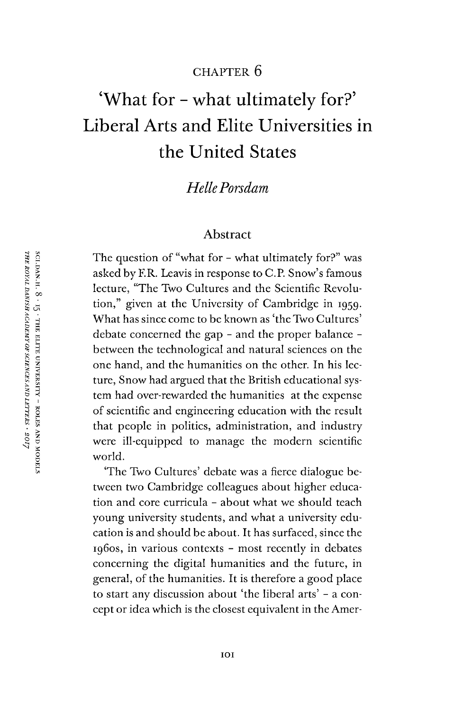# CHAPTER 6

# 'What for - what ultimately for?' Liberal Arts and Elite Universities in the United States

# *HellePorsdam*

#### Abstract

The question of "what for - what ultimately for?" was asked by ER. Leavis in response to C.P. Snow's famous lecture, "The Two Cultures and the Scientific Revolution," given at the University of Cambridge in 1959. What has since come to be known as 'the Two Cultures' debate concerned the gap - and the proper balance between the technological and natural sciences on the one hand, and the humanities on the other. In his lecture, Snow had argued that the British educational system had over-rewarded the humanities at the expense of scientific and engineering education with the result that people in politics, administration, and industry were ill-equipped to manage the modern scientific world.

'The Two Cultures' debate was a fierce dialogue between two Cambridge colleagues about higher education and core curricula - about what we should teach young university students, and what a university education is and should be about. It has surfaced, since the 1960s, in various contexts - most recently in debates concerning the digital humanities and the future, in general, of the humanities. It is therefore a good place to start any discussion about 'the liberal arts' - a concept or idea which is the closest equivalent in the Amer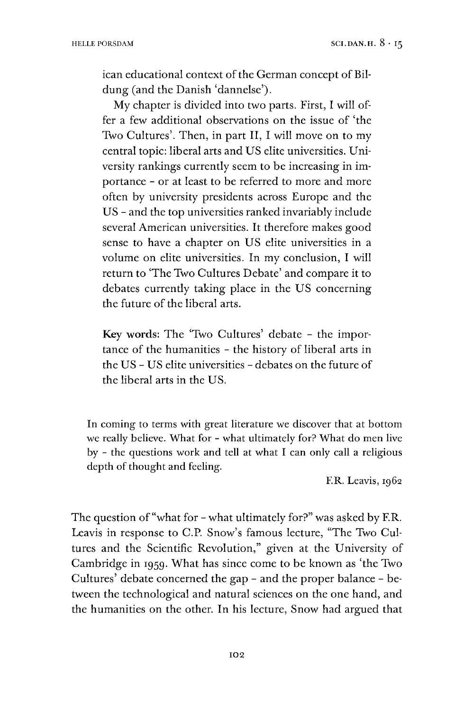ican educational context of the German concept of Bildung (and the Danish 'dannelse').

My chapter is divided into two parts. First, I will offer a few additional observations on the issue of 'the Two Cultures'. Then, in part II, I will move on to my central topic: liberal arts and US elite universities. University rankings currently seem to be increasing in importance - or at least to be referred to more and more often by university presidents across Europe and the US - and the top universities ranked invariably include several American universities. It therefore makes good sense to have a chapter on US elite universities in a volume on elite universities. In my conclusion, I will return to 'The Two Cultures Debate' and compare it to debates currently taking place in the US concerning the future of the liberal arts.

**Key words:** The 'Two Cultures' debate - the importance of the humanities - the history of liberal arts in the US - US elite universities - debates on the future of the liberal arts in the US.

In coming to terms with great literature we discover that at bottom we really believe. What for - what ultimately for? What do men live by - the questions work and tell at what I can only call a religious depth of thought and feeling.

F.R. Leavis, 1962

The question of "what for - what ultimately for?" was asked by F.R. Leavis in response to C.P. Snow's famous lecture, "The Two Cultures and the Scientific Revolution," given at the University of Cambridge in 1959. What has since come to be known as 'the Two Cultures' debate concerned the gap - and the proper balance - between the technological and natural sciences on the one hand, and the humanities on the other. In his lecture, Snow had argued that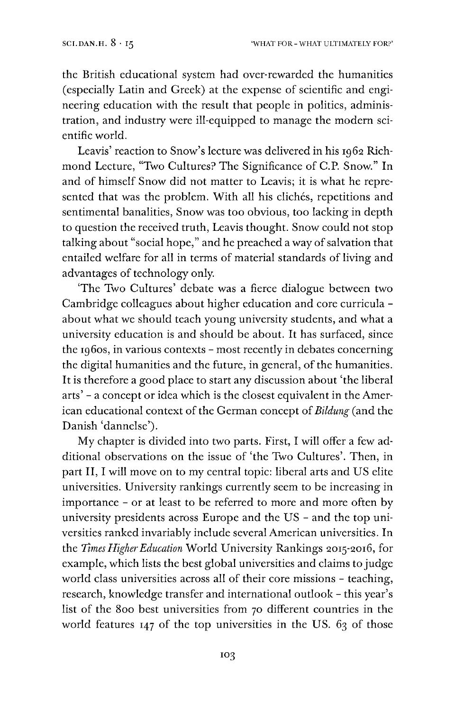the British educational system had over-rewarded the humanities (especially Latin and Greek) at the expense of scientific and engineering education with the result that people in politics, administration, and industry were ill-equipped to manage the modern scientific world.

Leavis' reaction to Snow's lecture was delivered in his 1962 Richmond Lecture, "Two Cultures? The Significance of C.P. Snow." In and of himself Snow did not matter to Leavis; it is what he represented that was the problem. With all his clichés, repetitions and sentimental banalities, Snow was too obvious, too lacking in depth to question the received truth, Leavis thought. Snow could not stop talking about "social hope," and he preached a way of salvation that entailed welfare for all in terms of material standards of living and advantages of technology only.

'The Two Cultures' debate was a fierce dialogue between two Cambridge colleagues about higher education and core curricula about what we should teach young university students, and what a university education is and should be about. It has surfaced, since the 1960s, in various contexts - most recently in debates concerning the digital humanities and the future, in general, of the humanities. It is therefore a good place to start any discussion about 'the liberal arts' - a concept or idea which is the closest equivalent in the American educational context of the German concept of *Bildung* (and the Danish 'dannelse').

My chapter is divided into two parts. First, I will offer a few additional observations on the issue of 'the Two Cultures'. Then, in part II, I will move on to my central topic: liberal arts and US elite universities. University rankings currently seem to be increasing in importance - or at least to be referred to more and more often by university presidents across Europe and the US - and the top universities ranked invariably include several American universities. In the *Times HigherEducation* World University Rankings 2015-2016, for example, which lists the best global universities and claims to judge world class universities across all of their core missions - teaching, research, knowledge transfer and international outlook - this year'<sup>s</sup> list of the 800 best universities from 70 different countries in the world features 147 of the top universities in the US. 63 of those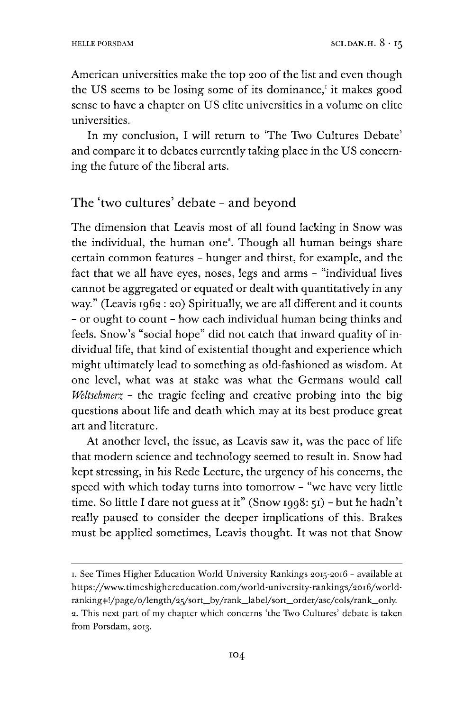American universities make the top 200 of the list and even though the US seems to be losing some of its dominance, $^1$  $^1$  it makes good sense to have a chapter on US elite universities in a volume on elite universities.

In my conclusion, I will return to 'The Two Cultures Debate' and compare it to debates currently taking place in the US concerning the future of the liberal arts.

### The 'two cultures' debate - and beyond

The dimension that Leavis most of all found lacking in Snow was the individual, the human one<sup>2</sup>. Though all human beings share certain common features - hunger and thirst, for example, and the fact that we all have eyes, noses, legs and arms - "individual lives cannot be aggregated or equated or dealt with quantitatively in any way." (Leavis 1962 : 20) Spiritually, we are all different and it counts - or ought to count - how each individual human being thinks and feels. Snow's "social hope" did not catch that inward quality of individual life, that kind of existential thought and experience which might ultimately lead to something as old-fashioned as wisdom. At one level, what was at stake was what the Germans would call *Weltschmerz -* the tragic feeling and creative probing into the big questions about life and death which may at its best produce great art and literature.

At another level, the issue, as Leavis saw it, was the pace of life that modern science and technology seemed to result in. Snow had kept stressing, in his Rede Lecture, the urgency of his concerns, the speed with which today turns into tomorrow - "we have very little time. So little I dare not guess at it" (Snow 1998: 51) - but he hadn't really paused to consider the deeper implications of this. Brakes must be applied sometimes, Leavis thought. It was not that Snow

<span id="page-3-0"></span><sup>1.</sup> See Times Higher Education World University Rankings 2015-2016 - available at https://www.timeshighereducation.com/world-university-rankings/2o16/worldranking#!/page/o/length/25/sort\_by/rank\_label/sort\_order/asc/cols/rank\_only. 2. This next part of my chapter which concerns 'the Two Cultures' debate is taken from Porsdam, 2013.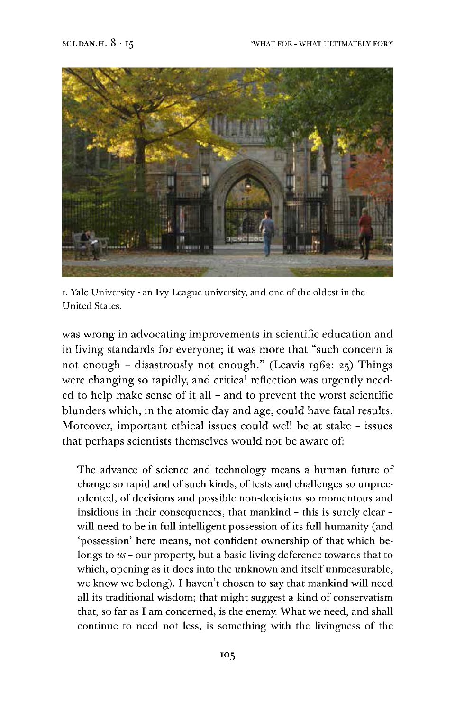

i. Yale University - an Ivy League university, and one ofthe oldest in the United States.

was wrong in advocating improvements in scientific education and in living standards for everyone; it was more that "such concern is not enough - disastrously not enough." (Leavis 1962: 25) Things were changing so rapidly, and critical reflection was urgently needed to help make sense of it all - and to prevent the worst scientific blunders which, in the atomic day and age, could have fatal results. Moreover, important ethical issues could well be at stake - issues that perhaps scientists themselves would not be aware of:

The advance of science and technology means a human future of change so rapid and of such kinds, of tests and challenges so unprecedented, of decisions and possible non-decisions so momentous and insidious in their consequences, that mankind - this is surely clear will need to be in full intelligent possession of its full humanity (and 'possession' here means, not confident ownership of that which belongs to *us -* our property, but a basic living deference towards that to which, opening as it does into the unknown and itself unmeasurable, we know we belong). I haven't chosen to say that mankind will need all its traditional wisdom; that might suggest a kind of conservatism that, so far as I am concerned, is the enemy. What we need, and shall continue to need not less, is something with the livingness of the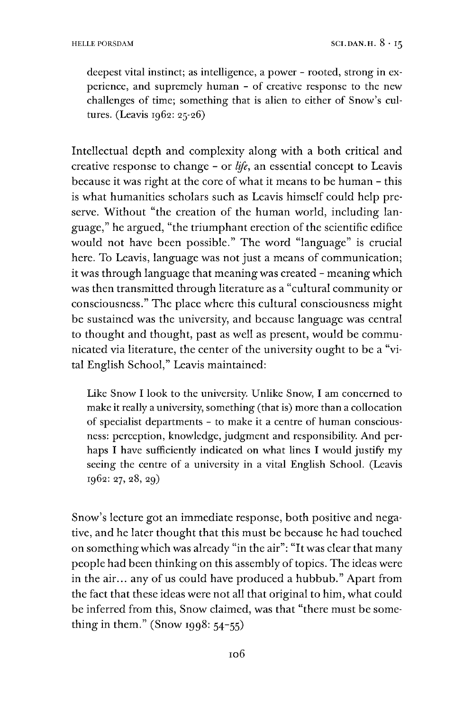deepest vital instinct; as intelligence, a power - rooted, strong in experience, and supremely human - of creative response to the new challenges of time; something that is alien to either of Snow'<sup>s</sup> cultures. (Leavis 1962: 25-26)

Intellectual depth and complexity along with a both critical and creative response to change - or *life,* an essential concept to Leavis because it was right at the core of what it means to be human - this is what humanities scholars such as Leavis himself could help preserve. Without "the creation of the human world, including language," he argued, "the triumphant erection of the scientific edifice would not have been possible." The word "language" is crucial here. To Leavis, language was not just a means of communication; it was through language that meaning was created - meaning which was then transmitted through literature as a "cultural community or consciousness." The place where this cultural consciousness might be sustained was the university, and because language was central to thought and thought, past as well as present, would be communicated via literature, the center of the university ought to be a "vital English School," Leavis maintained:

Like Snow I look to the university. Unlike Snow, I am concerned to make it really a university, something (that is) more than a collocation of specialist departments - to make it a centre of human consciousness: perception, knowledge, judgment and responsibility. And perhaps I have sufficiently indicated on what lines I would justify my seeing the centre of a university in a vital English School. (Leavis 1962: 27, 28, 29)

Snow's lecture got an immediate response, both positive and negative, and he later thought that this must be because he had touched on somethingwhich was already "in the air": "It was clear that many people had been thinking on this assembly of topics. The ideas were in the air... any of us could have produced a hubbub." Apart from the fact that these ideas were not all that original to him, what could be inferred from this, Snow claimed, was that "there must be something in them." (Snow 1998:  $54-55$ )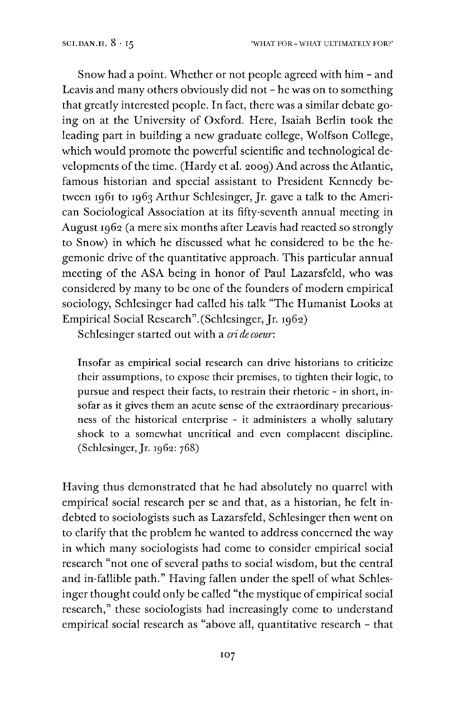Snow had a point. Whether or not people agreed with him - and Leavis and many others obviously did not - he was on to something that greatly interested people. In fact, there was a similar debate going on at the University of Oxford. Here, Isaiah Berlin took the leading part in building a new graduate college, Wolfson College, which would promote the powerful scientific and technological developments of the time. (Hardy et al. 2009) And across the Atlantic, famous historian and special assistant to President Kennedy between 1961 to 1963 Arthur Schlesinger, Jr. gave a talk to the American Sociological Association at its fifty-seventh annual meeting in August 1962 (a mere six months after Leavis had reacted so strongly to Snow) in which he discussed what he considered to be the hegemonic drive of the quantitative approach. This particular annual meeting of the ASA being in honor of Paul Lazarsfeld, who was considered by many to be one of the founders of modern empirical sociology, Schlesinger had called his talk "The Humanist Looks at Empirical Social Research".(Schlesinger, Jr. 1962)

Schlesinger started out with a *cri de coeur*:

Insofar as empirical social research can drive historians to criticize their assumptions, to expose their premises, to tighten their logic, to pursue and respect their facts, to restrain their rhetoric - in short, insofar as it gives them an acute sense of the extraordinary precariousness of the historical enterprise - it administers a wholly salutary shock to a somewhat uncritical and even complacent discipline.  $(Schlesinger, [r. 1962: 768)]$ 

Having thus demonstrated that he had absolutely no quarrel with empirical social research per se and that, as a historian, he felt indebted to sociologists such as Lazarsfeld, Schlesinger then went on to clarify that the problem he wanted to address concerned the way in which many sociologists had come to consider empirical social research "not one of several paths to social wisdom, but the central and in-fallible path." Having fallen under the spell of what Schlesinger thought could only be called "the mystique of empirical social research," these sociologists had increasingly come to understand empirical social research as "above all, quantitative research - that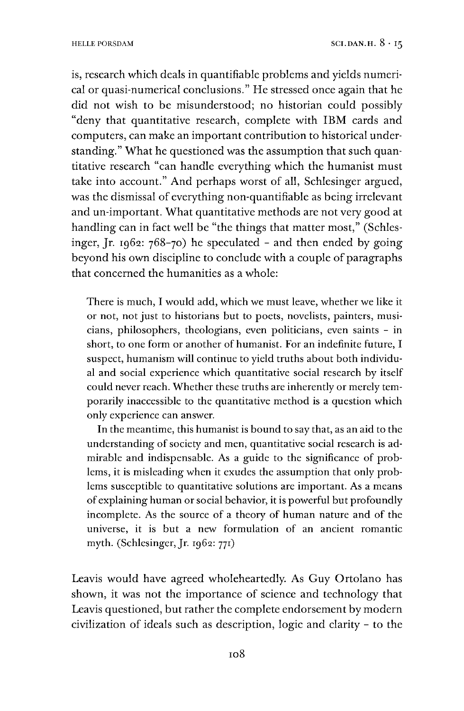is, research which deals in quantifiable problems and yields numerical or quasi-numerical conclusions." He stressed once again that he did not wish to be misunderstood; no historian could possibly "deny that quantitative research, complete with IBM cards and computers, can make an important contribution to historical understanding." What he questioned was the assumption that such quantitative research "can handle everything which the humanist must take into account." And perhaps worst of all, Schlesinger argued, was the dismissal of everything non-quantifiable as being irrelevant and un-important. What quantitative methods are not very good at handling can in fact well be "the things that matter most," (Schlesinger, Jr. 1962:  $768-70$  he speculated - and then ended by going beyond his own discipline to conclude with a couple of paragraphs that concerned the humanities as a whole:

There is much, I would add, which we must leave, whether we like it or not, not just to historians but to poets, novelists, painters, musicians, philosophers, theologians, even politicians, even saints - in short, to one form or another of humanist. For an indefinite future, I suspect, humanism will continue to yield truths about both individual and social experience which quantitative social research by itself could never reach. Whether these truths are inherently or merely temporarily inaccessible to the quantitative method is a question which only experience can answer.

In the meantime, this humanist is bound to say that, as an aid to the understanding of society and men, quantitative social research is admirable and indispensable. As a guide to the significance of problems, it is misleading when it exudes the assumption that only problems susceptible to quantitative solutions are important. As a means of explaining human or social behavior, it is powerful but profoundly incomplete. As the source of a theory of human nature and of the universe, it is but a new formulation of an ancient romantic myth. (Schlesinger,Jr. 1962: 771)

Leavis would have agreed wholeheartedly. As Guy Ortolano has shown, it was not the importance of science and technology that Leavis questioned, but rather the complete endorsement by modern civilization of ideals such as description, logic and clarity - to the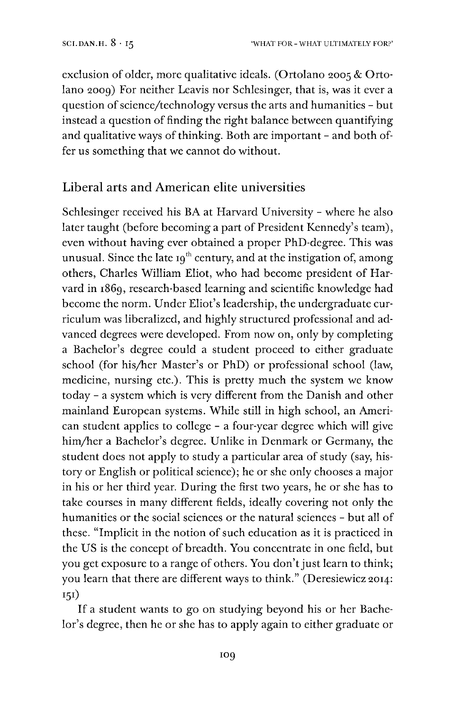exclusion of older, more qualitative ideals. (Ortolano 2005 & Ortolano 2009) For neither Leavis nor Schlesinger, that is, was it ever a question of science/technology versus the arts and humanities - but instead a question of finding the right balance between quantifying and qualitative ways of thinking. Both are important - and both offer us something that we cannot do without.

# Liberal arts and American elite universities

Schlesinger received his BA at Harvard University - where he also later taught (before becoming a part of President Kennedy's team), even without having ever obtained a proper PhD-degree. This was unusual. Since the late  $19<sup>th</sup>$  century, and at the instigation of, among others, Charles William Eliot, who had become president of Harvard in 1869, research-based learning and scientific knowledge had become the norm. Under Eliot's leadership, the undergraduate curriculum was liberalized, and highly structured professional and advanced degrees were developed. From now on, only by completing a Bachelor's degree could a student proceed to either graduate school (for his/her Master's or PhD) or professional school (law, medicine, nursing etc.). This is pretty much the system we know today - a system which is very different from the Danish and other mainland European systems. While still in high school, an American student applies to college - a four-year degree which will give him/her a Bachelor's degree. Unlike in Denmark or Germany, the student does not apply to study a particular area of study (say, history or English or political science); he or she only chooses a major in his or her third year. During the first two years, he or she has to take courses in many different fields, ideally covering not only the humanities or the social sciences or the natural sciences - but all of these. "Implicit in the notion of such education as it is practiced in the US is the concept of breadth. You concentrate in one field, but you get exposure to a range of others. You don't just learn to think; you learn that there are different ways to think." (Deresiewicz 2014: I5I)

If a student wants to go on studying beyond his or her Bachelor's degree, then he or she has to apply again to either graduate or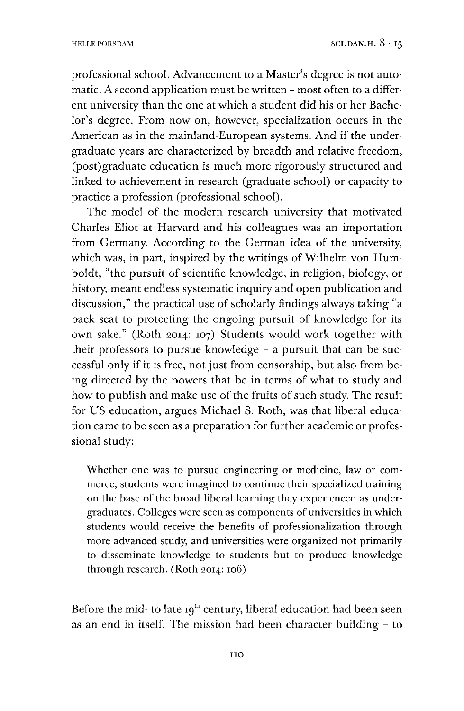professional school. Advancement to a Master's degree is not automatic. A second application must be written - most often to a different university than the one at which a student did his or her Bachelor's degree. From now on, however, specialization occurs in the American as in the mainland-European systems. And if the undergraduate years are characterized by breadth and relative freedom, (post)graduate education is much more rigorously structured and linked to achievement in research (graduate school) or capacity to practice a profession (professional school).

The model of the modern research university that motivated Charles Eliot at Harvard and his colleagues was an importation from Germany. According to the German idea of the university, which was, in part, inspired by the writings of Wilhelm von Humboldt, "the pursuit of scientific knowledge, in religion, biology, or history, meant endless systematic inquiry and open publication and discussion," the practical use of scholarly findings always taking "a back seat to protecting the ongoing pursuit of knowledge for its own sake." (Roth 2014: 107) Students would work together with their professors to pursue knowledge - a pursuit that can be successful only if it is free, not just from censorship, but also from being directed by the powers that be in terms of what to study and how to publish and make use of the fruits of such study. The result for US education, argues Michael S. Roth, was that liberal education came to be seen as a preparation for further academic or professional study:

Whether one was to pursue engineering or medicine, law or commerce, students were imagined to continue their specialized training on the base of the broad liberal learning they experienced as undergraduates. Colleges were seen as components of universities in which students would receive the benefits of professionalization through more advanced study, and universities were organized not primarily to disseminate knowledge to students but to produce knowledge through research. (Roth 2014: 106)

Before the mid- to late  $19<sup>th</sup>$  century, liberal education had been seen as an end in itself. The mission had been character building - to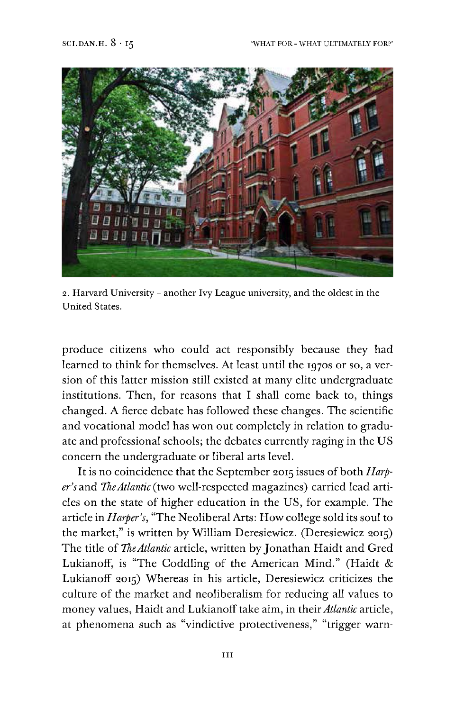

2. Harvard University - another Ivy League university, and the oldest in the United States.

produce citizens who could act responsibly because they had learned to think for themselves. At least until the 1970s or so, a version of this latter mission still existed at many elite undergraduate institutions. Then, for reasons that I shall come back to, things changed. A fierce debate has followed these changes. The scientific and vocational model has won out completely in relation to graduate and professional schools; the debates currently raging in the US concern the undergraduate or liberal arts level.

It is no coincidence that the September 2015 issues of both *Harper's* and *TheAtlantic* (two well-respected magazines) carried lead articles on the state of higher education in the US, for example. The article in *Harper's,* "The Neoliberal Arts: How college sold its soul to the market," is written by William Deresiewicz. (Deresiewicz 2015) The title of *TheAtlantic* article, written by Jonathan Haidt and Gred Lukianoff, is "The Coddling of the American Mind." (Haidt & Lukianoff 2015) Whereas in his article, Deresiewicz criticizes the culture of the market and neoliberalism for reducing all values to money values, Haidt and Lukianofftake aim, in their*Atlantic* article, at phenomena such as "vindictive protectiveness," "trigger warn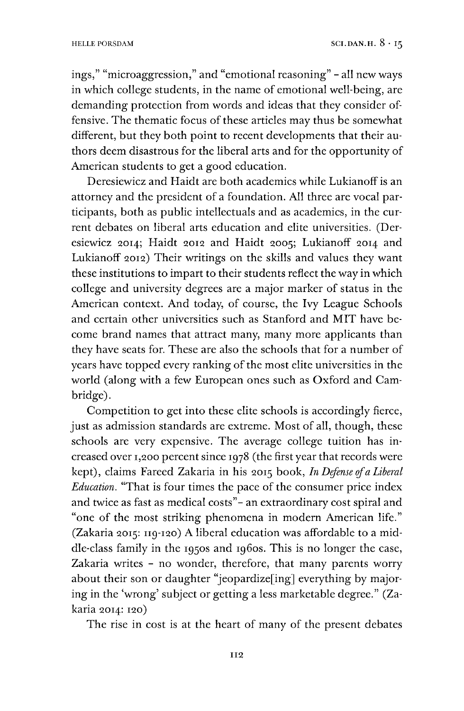ings," "microaggression," and "emotional reasoning" - all new ways in which college students, in the name of emotional well-being, are demanding protection from words and ideas that they consider offensive. The thematic focus of these articles may thus be somewhat different, but they both point to recent developments that their authors deem disastrous for the liberal arts and for the opportunity of American students to get a good education.

Deresiewicz and Haidt are both academics while Lukianoff is an attorney and the president of a foundation. All three are vocal participants, both as public intellectuals and as academics, in the current debates on liberal arts education and elite universities. (Deresiewicz 2014; Haidt 2012 and Haidt 2005; Lukianoff 2014 and Lukianoff 2012) Their writings on the skills and values they want these institutions to impart to their students reflect the way in which college and university degrees are a major marker of status in the American context. And today, of course, the Ivy League Schools and certain other universities such as Stanford and MIT have become brand names that attract many, many more applicants than they have seats for. These are also the schools that for a number of years have topped every ranking of the most elite universities in the world (along with a few European ones such as Oxford and Cambridge).

Competition to get into these elite schools is accordingly fierce, just as admission standards are extreme. Most of all, though, these schools are very expensive. The average college tuition has increased over 1,200 percent since 1978 (the first year that records were kept), claims Fareed Zakaria in his 2015 book, *In Defense ofa Liberal Education.* "That is four times the pace of the consumer price index and twice as fast as medical costs"- an extraordinary cost spiral and "one of the most striking phenomena in modern American life." (Zakaria 2015: 119-120) A liberal education was affordable to a middle-class family in the 1950s and 1960s. This is no longer the case, Zakaria writes - no wonder, therefore, that many parents worry about their son or daughter "jeopardize[ing] everything by majoring in the 'wrong' subject or getting a less marketable degree." (Zakaria 2014: 120)

The rise in cost is at the heart of many of the present debates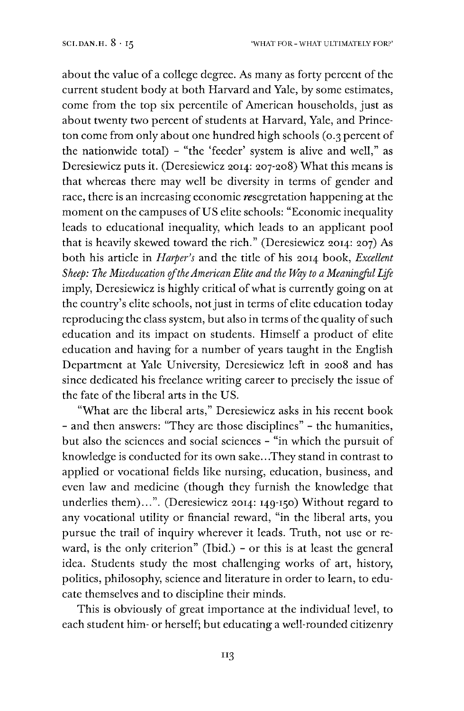about the value of a college degree. As many as forty percent of the current student body at both Harvard and Yale, by some estimates, come from the top six percentile of American households, just as about twenty two percent of students at Harvard, Yale, and Princeton come from only about one hundred high schools (0.3 percent of the nationwide total) - "the 'feeder' system is alive and well," as Deresiewicz puts it. (Deresiewicz 2014: 207-208) What this means is that whereas there may well be diversity in terms of gender and race, there is an increasing economic resegretation happening at the moment on the campuses of US elite schools: "Economic inequality leads to educational inequality, which leads to an applicant pool that is heavily skewed toward the rich." (Deresiewicz 2014: 207) As both his article in *Harper's* and the title of his 2014 book, *Excellent Sheep: The Miseducation oftheAmerican Elite and the Way to a MeaninifulLfe* imply, Deresiewicz is highly critical of what is currently going on at the country's elite schools, not just in terms of elite education today reproducing the class system, but also in terms of the quality of such education and its impact on students. Himself a product of elite education and having for a number of years taught in the English Department at Yale University, Deresiewicz left in 2008 and has since dedicated his freelance writing career to precisely the issue of the fate of the liberal arts in the US.

"What are the liberal arts," Deresiewicz asks in his recent book - and then answers: "They are those disciplines" - the humanities, but also the sciences and social sciences - "in which the pursuit of knowledge is conducted for its own sake.. .They stand in contrast to applied or vocational fields like nursing, education, business, and even law and medicine (though they furnish the knowledge that underlies them)...". (Deresiewicz 2014: 149-150) Without regard to any vocational utility or financial reward, "in the liberal arts, you pursue the trail of inquiry wherever it leads. Truth, not use or reward, is the only criterion" (Ibid.) - or this is at least the general idea. Students study the most challenging works of art, history, politics, philosophy, science and literature in order to learn, to educate themselves and to discipline their minds.

This is obviously of great importance at the individual level, to each student him- or herself; but educating a well-rounded citizenry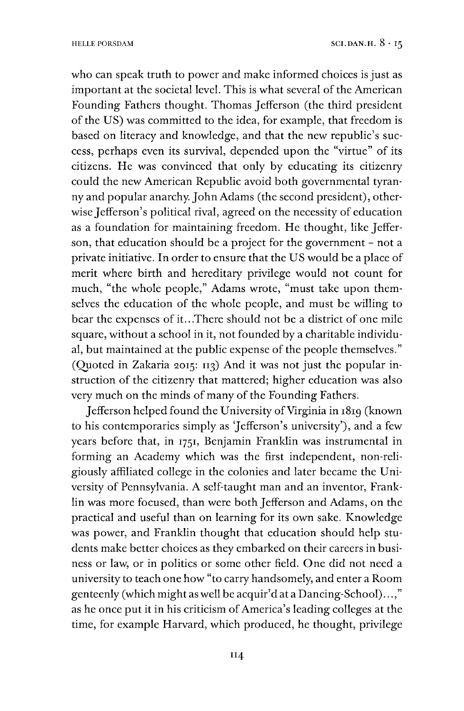who can speak truth to power and make informed choices is just as important at the societal level. This is what several of the American Founding Fathers thought. Thomas Jefferson (the third president of the US) was committed to the idea, for example, that freedom is based on literacy and knowledge, and that the new republic's success, perhaps even its survival, depended upon the "virtue" of its citizens. He was convinced that only by educating its citizenry could the new American Republic avoid both governmental tyranny and popular anarchy. John Adams (the second president), otherwise Jefferson's political rival, agreed on the necessity of education as a foundation for maintaining freedom. He thought, like Jefferson, that education should be a project for the government - not a private initiative. In order to ensure that the US would be a place of merit where birth and hereditary privilege would not count for much, "the whole people," Adams wrote, "must take upon themselves the education of the whole people, and must be willing to bear the expenses of it...There should not be a district of one mile square, without a school in it, not founded by a charitable individual, but maintained at the public expense of the people themselves." (Quoted in Zakaria 2015: 113) And it was not just the popular instruction of the citizenry that mattered; higher education was also very much on the minds of many of the Founding Fathers.

Jefferson helped found the University of Virginia in 1819 (known to his contemporaries simply as 'Jefferson's university'), and a few years before that, in 1751, Benjamin Franklin was instrumental in forming an Academy which was the first independent, non-religiously affiliated college in the colonies and later became the University of Pennsylvania. A self-taught man and an inventor, Franklin was more focused, than were both Jefferson and Adams, on the practical and useful than on learning for its own sake. Knowledge was power, and Franklin thought that education should help students make better choices as they embarked on their careers in business or law, or in politics or some other field. One did not need a university to teach one how "to carry handsomely, and enter a Room genteenly (which might as well be acquir'd at a Dancing-School).. as he once put it in his criticism of America's leading colleges at the time, for example Harvard, which produced, he thought, privilege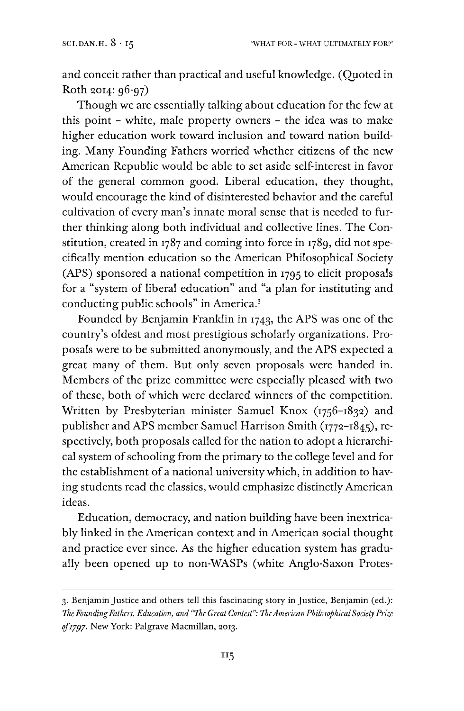and conceit rather than practical and useful knowledge. (Quoted in Roth 2014: 96-97)

Though we are essentially talking about education for the few at this point - white, male property owners - the idea was to make higher education work toward inclusion and toward nation building. Many Founding Fathers worried whether citizens of the new American Republic would be able to set aside self-interest in favor of the general common good. Liberal education, they thought, would encourage the kind of disinterested behavior and the careful cultivation of every man's innate moral sense that is needed to further thinking along both individual and collective lines. The Constitution, created in 1787 and coming into force in 1789, did not specifically mention education so the American Philosophical Society (APS) sponsored a national competition in 1795 to elicit proposals for a "system of liberal education" and "a plan for instituting and conducting public schools" in America.[3](#page-14-0)

Founded by Benjamin Franklin in 1743, the APS was one of the country's oldest and most prestigious scholarly organizations. Proposals were to be submitted anonymously, and the APS expected a great many of them. But only seven proposals were handed in. Members of the prize committee were especially pleased with two of these, both of which were declared winners of the competition. Written by Presbyterian minister Samuel Knox (1756-1832) and publisher and APS member Samuel Harrison Smith (1772-1845), respectively, both proposals called for the nation to adopt a hierarchical system of schooling from the primary to the college level and for the establishment of a national university which, in addition to having students read the classics, would emphasize distinctly American ideas.

Education, democracy, and nation building have been inextricably linked in the American context and in American social thought and practice ever since. As the higher education system has gradually been opened up to non-WASPs (white Anglo-Saxon Protes-

<span id="page-14-0"></span><sup>3.</sup> Benjamin Justice and others tell this fascinating story in Justice, Benjamin (ed.): *TheFoundingFathers, Education, and "The Great Contest'': TheAmerican PhilosophicalSociety Prize ofiygy.* New York: Palgrave Macmillan, 2013.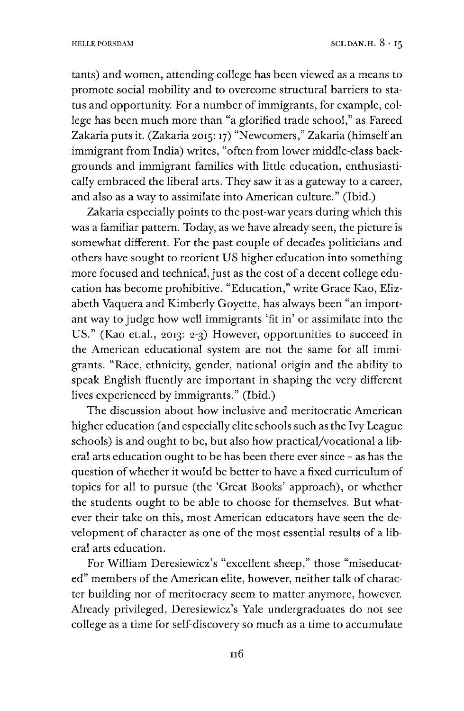tants) and women, attending college has been viewed as a means to promote social mobility and to overcome structural barriers to status and opportunity. For a number of immigrants, for example, college has been much more than "a glorified trade school," as Fareed Zakaria putsit. (Zakaria 2015:17) "Newcomers," Zakaria (himself an immigrant from India) writes, "often from lower middle-class backgrounds and immigrant families with little education, enthusiastically embraced the liberal arts. They saw it as a gateway to a career, and also as a way to assimilate into American culture." (Ibid.)

Zakaria especially points to the post-war years during which this was a familiar pattern. Today, as we have already seen, the picture is somewhat different. For the past couple of decades politicians and others have sought to reorient US higher education into something more focused and technical, just as the cost of a decent college education has become prohibitive. "Education," write Grace Kao, Elizabeth Vaquera and Kimberly Goyette, has always been "an important way to judge how well immigrants 'fit in' or assimilate into the US." (Kao et.al., 2013: 2-3) However, opportunities to succeed in the American educational system are not the same for all immigrants. "Race, ethnicity, gender, national origin and the ability to speak English fluently are important in shaping the very different lives experienced by immigrants." (Ibid.)

The discussion about how inclusive and meritocratic American higher education (and especially elite schools such as the Ivy League schools) is and ought to be, but also how practical/vocational a liberal arts education ought to be has been there ever since - as has the question ofwhether it would be better to have a fixed curriculum of topics for all to pursue (the 'Great Books' approach), or whether the students ought to be able to choose for themselves. But whatever their take on this, most American educators have seen the development of character as one of the most essential results of a liberal arts education.

For William Deresiewicz's "excellent sheep," those "miseducated" members of the American elite, however, neither talk of character building nor of meritocracy seem to matter anymore, however. Already privileged, Deresiewicz's Yale undergraduates do not see college as a time for self-discovery so much as a time to accumulate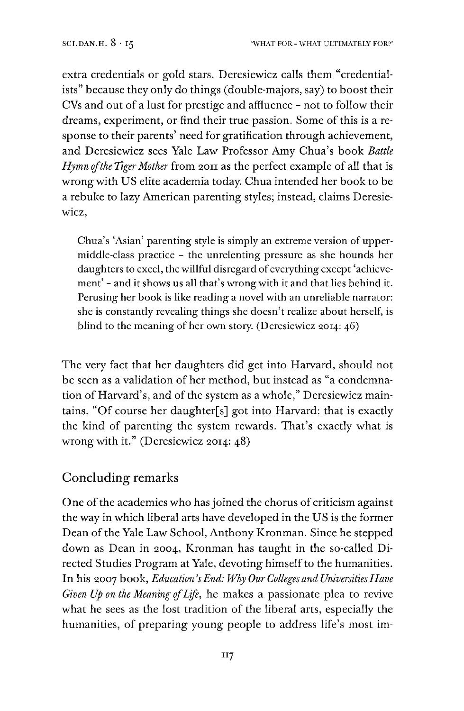extra credentials or gold stars. Deresiewicz calls them "credentialists" because they only do things (double-majors, say) to boost their CVs and out of a lust for prestige and affluence - not to follow their dreams, experiment, or find their true passion. Some of this is a response to their parents' need for gratification through achievement, and Deresiewicz sees Yale Law Professor Amy Chua's book *Battle Hymnofthe Tiger Mother* from 2011 as the perfect example of all that is wrong with US elite academia today. Chua intended her book to be a rebuke to lazy American parenting styles; instead, claims Deresiewicz,

Chua's 'Asian' parenting style is simply an extreme version of uppermiddle-class practice - the unrelenting pressure as she hounds her daughters to excel, the willful disregard of everything except 'achievement' - and it shows us all that's wrong with it and that lies behind it. Perusing her book is like reading a novel with an unreliable narrator: she is constantly revealing things she doesn't realize about herself, is blind to the meaning of her own story. (Deresiewicz 2014: 46)

The very fact that her daughters did get into Harvard, should not be seen as a validation of her method, but instead as "a condemnation of Harvard's, and of the system as a whole," Deresiewicz maintains. "Of course her daughter[s] got into Harvard: that is exactly the kind of parenting the system rewards. That's exactly what is wrong with it." (Deresiewicz 2014: 48)

# Concluding remarks

One of the academics who has joined the chorus of criticism against the way in which liberal arts have developed in the US is the former Dean of the Yale Law School, Anthony Kronman. Since he stepped down as Dean in 2004, Kronman has taught in the so-called Directed Studies Program at Yale, devoting himself to the humanities. In his 2007 book, *Education'sEnd: Why Our Colleges and UniversitiesHave Given Up on the Meaning ofLife,* he makes a passionate plea to revive what he sees as the lost tradition of the liberal arts, especially the humanities, of preparing young people to address life's most im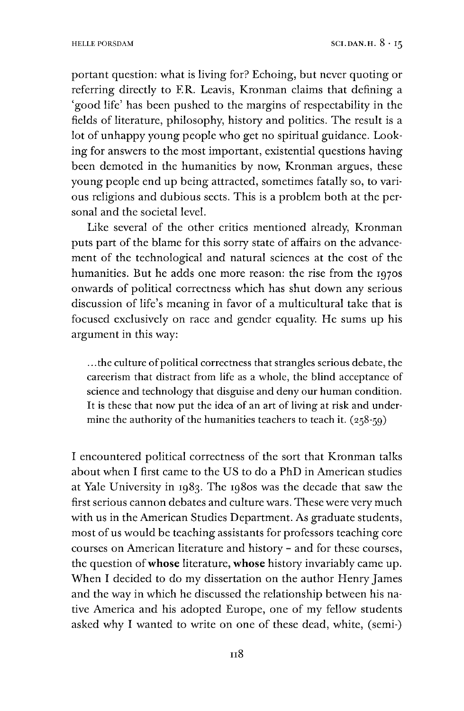portant question: what is living for? Echoing, but never quoting or referring directly to ER. Leavis, Kronman claims that defining a 'good life' has been pushed to the margins of respectability in the fields of literature, philosophy, history and politics. The result is a lot of unhappy young people who get no spiritual guidance. Looking for answers to the most important, existential questions having been demoted in the humanities by now, Kronman argues, these young people end up being attracted, sometimes fatally so, to various religions and dubious sects. This is a problem both at the personal and the societal level.

Like several of the other critics mentioned already, Kronman puts part of the blame for this sorry state of affairs on the advancement of the technological and natural sciences at the cost of the humanities. But he adds one more reason: the rise from the 1970s onwards of political correctness which has shut down any serious discussion of life's meaning in favor of a multicultural take that is focused exclusively on race and gender equality. He sums up his argument in this way:

... the culture of political correctness that strangles serious debate, the careerism that distract from life as a whole, the blind acceptance of science and technology that disguise and deny our human condition. It is these that now put the idea of an art of living at risk and undermine the authority of the humanities teachers to teach it.  $(258-59)$ 

I encountered political correctness of the sort that Kronman talks about when I first came to the US to do a PhD in American studies at Yale University in 1983. The 1980s was the decade that saw the first serious cannon debates and culture wars. These were very much with us in the American Studies Department. As graduate students, most of us would be teaching assistants for professors teaching core courses on American literature and history - and for these courses, the question of**whose** literature, **whose** history invariably came up. When I decided to do my dissertation on the author Henry James and the way in which he discussed the relationship between his native America and his adopted Europe, one of my fellow students asked why I wanted to write on one of these dead, white, (semi-)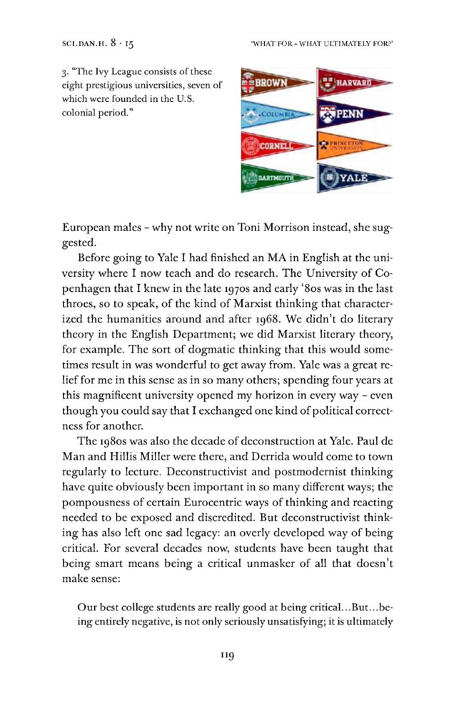#### SCI.DAN.H.  $8 \cdot 15$  'WHAT FOR - WHAT ULTIMATELY FOR?'

3. "The Ivy League consists of these eight prestigious universities, seven of which were founded in the U.S. colonial period."



European males - why not write on Toni Morrison instead, she suggested.

Before going to Yale I had finished an MA in English at the university where I now teach and do research. The University of Copenhagen that I knew in the late 1970s and early '80s was in the last throes, so to speak, of the kind of Marxist thinking that characterized the humanities around and after 1968. We didn't do literary theory in the English Department; we did Marxist literary theory, for example. The sort of dogmatic thinking that this would sometimes result in was wonderful to get away from. Yale was a great relief for me in this sense as in so many others; spending four years at this magnificent university opened my horizon in every way - even though you could say that I exchanged one kind of political correctness for another.

The 1980s was also the decade of deconstruction at Yale. Paul de Man and Hillis Miller were there, and Derrida would come to town regularly to lecture. Deconstructivist and postmodernist thinking have quite obviously been important in so many different ways; the pompousness of certain Eurocentric ways of thinking and reacting needed to be exposed and discredited. But deconstructivist thinking has also left one sad legacy: an overly developed way of being critical. For several decades now, students have been taught that being smart means being a critical unmasker of all that doesn't make sense:

Our best college students are really good at being critical...But...being entirely negative, is not only seriously unsatisfying; it is ultimately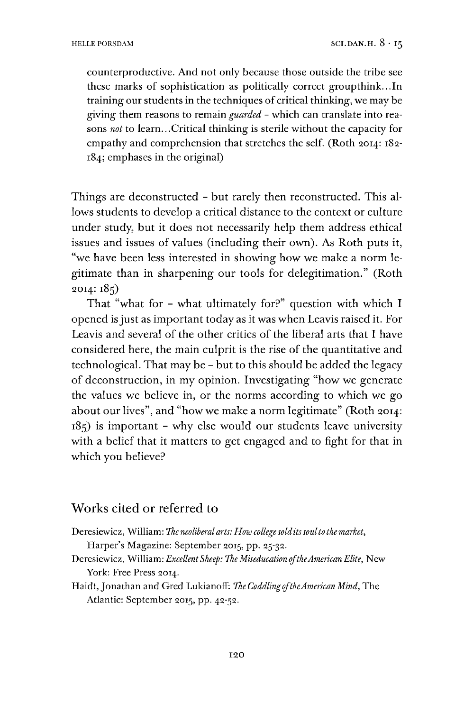counterproductive. And not only because those outside the tribe see these marks of sophistication as politically correct groupthink...In training our students in the techniques of critical thinking, we may be giving them reasons to remain *guarded -* which can translate into reasons *not* to learn...Critical thinking is sterile without the capacity for empathy and comprehension that stretches the self. (Roth 2014: 182- 184; emphases in the original)

Things are deconstructed - but rarely then reconstructed. This allows students to develop a critical distance to the context or culture under study, but it does not necessarily help them address ethical issues and issues of values (including their own). As Roth puts it, "we have been less interested in showing how we make a norm legitimate than in sharpening our tools for delegitimation." (Roth 2014:185)

That "what for - what ultimately for?" question with which I opened isjust as important today as it was when Leavis raised it. For Leavis and several of the other critics of the liberal arts that I have considered here, the main culprit is the rise of the quantitative and technological. That may be - but to this should be added the legacy of deconstruction, in my opinion. Investigating "how we generate the values we believe in, or the norms according to which we go about our lives", and "how we make a norm legitimate" (Roth 2014: 185) is important - why else would our students leave university with a belief that it matters to get engaged and to fight for that in which you believe?

#### Works cited or referred to

Deresiewicz, William: *The neoliberal arts: How college solditssoulto the market,*

Harper's Magazine: September 2015, pp. 25-32.

- Deresiewicz, William: *Excellent Sheep: The MiseducationoftheAmericanElite,* New York: Free Press 2014.
- Haidt,Jonathan and Gred Lukianoff: *The CoddlingoftheAmerican Mind,* The Atlantic: September 2015, pp. 42-52.